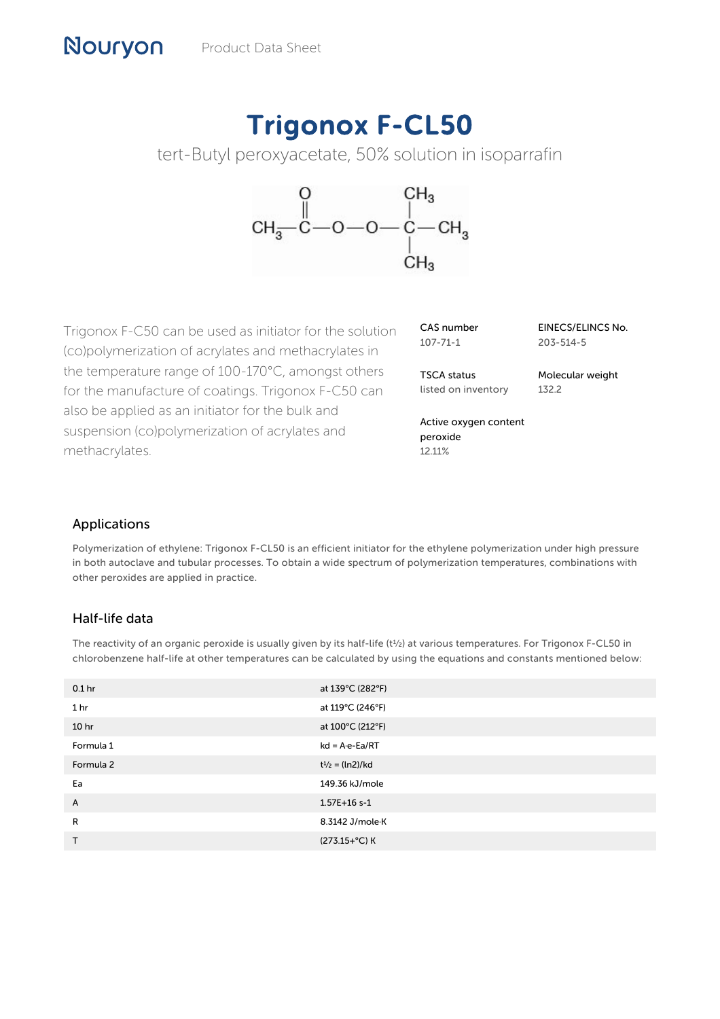# Trigonox F-CL50

tert-Butyl peroxyacetate, 50% solution in isoparrafin



Trigonox F-C50 can be used as initiator for the solution (co)polymerization of acrylates and methacrylates in the temperature range of 100-170°C, amongst others for the manufacture of coatings. Trigonox F-C50 can also be applied as an initiator for the bulk and suspension (co)polymerization of acrylates and methacrylates.

| CAS number     |  |
|----------------|--|
| $107 - 71 - 1$ |  |

TSCA status listed on inventory EINECS/ELINCS No. 203-514-5

Molecular weight 132.2

Active oxygen content peroxide 12.11%

## Applications

Nouryon

Polymerization of ethylene: Trigonox F-CL50 is an efficient initiator for the ethylene polymerization under high pressure in both autoclave and tubular processes. To obtain a wide spectrum of polymerization temperatures, combinations with other peroxides are applied in practice.

## Half-life data

The reactivity of an organic peroxide is usually given by its half-life (t½) at various temperatures. For Trigonox F-CL50 in chlorobenzene half-life at other temperatures can be calculated by using the equations and constants mentioned below:

| 0.1 <sub>hr</sub> | at 139°C (282°F)         |
|-------------------|--------------------------|
| 1 <sub>hr</sub>   | at 119°C (246°F)         |
| 10 <sub>hr</sub>  | at 100°C (212°F)         |
| Formula 1         | $kd = A \cdot e - Ea/RT$ |
| Formula 2         | $t^{1/2} = (ln2)/kd$     |
| Ea                | 149.36 kJ/mole           |
| A                 | $1.57E+16s-1$            |
| R                 | 8.3142 J/mole K          |
| T                 | (273.15+°C) K            |
|                   |                          |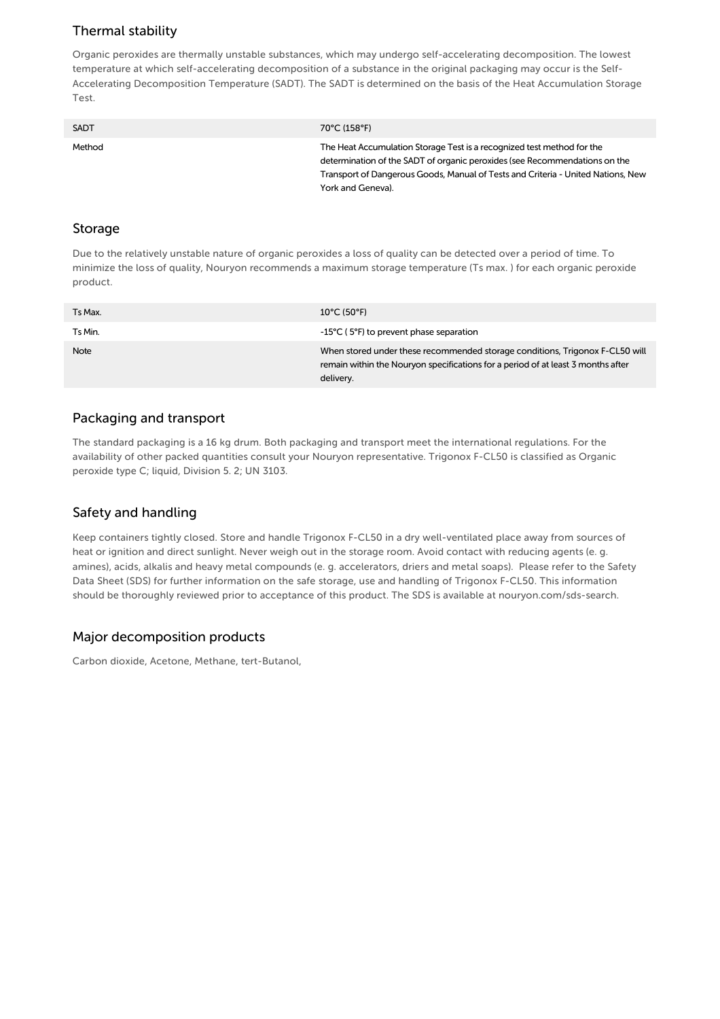## Thermal stability

Organic peroxides are thermally unstable substances, which may undergo self-accelerating decomposition. The lowest temperature at which self-accelerating decomposition of a substance in the original packaging may occur is the Self-Accelerating Decomposition Temperature (SADT). The SADT is determined on the basis of the Heat Accumulation Storage Test.

| <b>SADT</b> | 70°C (158°F)                                                                                                                                                                                                                                                  |
|-------------|---------------------------------------------------------------------------------------------------------------------------------------------------------------------------------------------------------------------------------------------------------------|
| Method      | The Heat Accumulation Storage Test is a recognized test method for the<br>determination of the SADT of organic peroxides (see Recommendations on the<br>Transport of Dangerous Goods, Manual of Tests and Criteria - United Nations, New<br>York and Geneva). |

#### Storage

Due to the relatively unstable nature of organic peroxides a loss of quality can be detected over a period of time. To minimize the loss of quality, Nouryon recommends a maximum storage temperature (Ts max. ) for each organic peroxide product.

| Ts Max. | $10^{\circ}$ C (50°F)                                                                                                                                                         |
|---------|-------------------------------------------------------------------------------------------------------------------------------------------------------------------------------|
| Ts Min. | -15°C (5°F) to prevent phase separation                                                                                                                                       |
| Note    | When stored under these recommended storage conditions, Trigonox F-CL50 will<br>remain within the Nouryon specifications for a period of at least 3 months after<br>delivery. |

## Packaging and transport

The standard packaging is a 16 kg drum. Both packaging and transport meet the international regulations. For the availability of other packed quantities consult your Nouryon representative. Trigonox F-CL50 is classified as Organic peroxide type C; liquid, Division 5. 2; UN 3103.

## Safety and handling

Keep containers tightly closed. Store and handle Trigonox F-CL50 in a dry well-ventilated place away from sources of heat or ignition and direct sunlight. Never weigh out in the storage room. Avoid contact with reducing agents (e. g. amines), acids, alkalis and heavy metal compounds (e. g. accelerators, driers and metal soaps). Please refer to the Safety Data Sheet (SDS) for further information on the safe storage, use and handling of Trigonox F-CL50. This information should be thoroughly reviewed prior to acceptance of this product. The SDS is available at nouryon.com/sds-search.

## Major decomposition products

Carbon dioxide, Acetone, Methane, tert-Butanol,